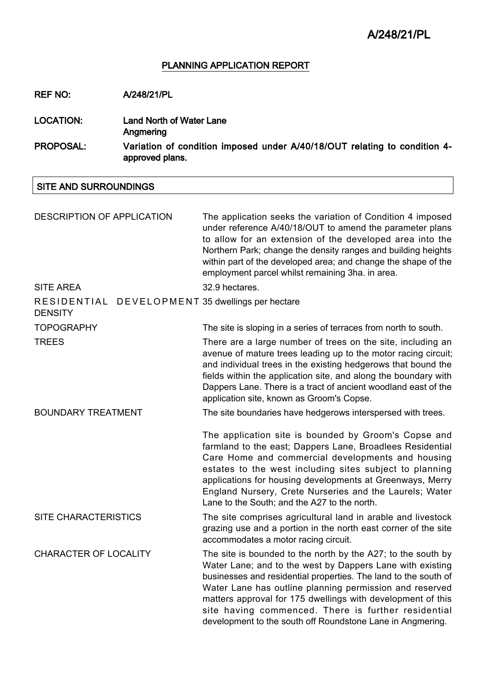### PLANNING APPLICATION REPORT

REF NO: A/248/21/PL

LOCATION: Land North of Water Lane Angmering PROPOSAL: Variation of condition imposed under A/40/18/OUT relating to condition 4 approved plans.

### SITE AND SURROUNDINGS

| <b>DESCRIPTION OF APPLICATION</b>                                  | The application seeks the variation of Condition 4 imposed<br>under reference A/40/18/OUT to amend the parameter plans<br>to allow for an extension of the developed area into the<br>Northern Park; change the density ranges and building heights<br>within part of the developed area; and change the shape of the<br>employment parcel whilst remaining 3ha. in area.                                                                   |  |
|--------------------------------------------------------------------|---------------------------------------------------------------------------------------------------------------------------------------------------------------------------------------------------------------------------------------------------------------------------------------------------------------------------------------------------------------------------------------------------------------------------------------------|--|
| <b>SITE AREA</b>                                                   | 32.9 hectares.                                                                                                                                                                                                                                                                                                                                                                                                                              |  |
| RESIDENTIAL DEVELOPMENT 35 dwellings per hectare<br><b>DENSITY</b> |                                                                                                                                                                                                                                                                                                                                                                                                                                             |  |
| <b>TOPOGRAPHY</b>                                                  | The site is sloping in a series of terraces from north to south.                                                                                                                                                                                                                                                                                                                                                                            |  |
| <b>TREES</b>                                                       | There are a large number of trees on the site, including an<br>avenue of mature trees leading up to the motor racing circuit;<br>and individual trees in the existing hedgerows that bound the<br>fields within the application site, and along the boundary with<br>Dappers Lane. There is a tract of ancient woodland east of the<br>application site, known as Groom's Copse.                                                            |  |
| <b>BOUNDARY TREATMENT</b>                                          | The site boundaries have hedgerows interspersed with trees.                                                                                                                                                                                                                                                                                                                                                                                 |  |
|                                                                    | The application site is bounded by Groom's Copse and<br>farmland to the east; Dappers Lane, Broadlees Residential<br>Care Home and commercial developments and housing<br>estates to the west including sites subject to planning<br>applications for housing developments at Greenways, Merry<br>England Nursery, Crete Nurseries and the Laurels; Water<br>Lane to the South; and the A27 to the north.                                   |  |
| <b>SITE CHARACTERISTICS</b>                                        | The site comprises agricultural land in arable and livestock<br>grazing use and a portion in the north east corner of the site<br>accommodates a motor racing circuit.                                                                                                                                                                                                                                                                      |  |
| <b>CHARACTER OF LOCALITY</b>                                       | The site is bounded to the north by the A27; to the south by<br>Water Lane; and to the west by Dappers Lane with existing<br>businesses and residential properties. The land to the south of<br>Water Lane has outline planning permission and reserved<br>matters approval for 175 dwellings with development of this<br>site having commenced. There is further residential<br>development to the south off Roundstone Lane in Angmering. |  |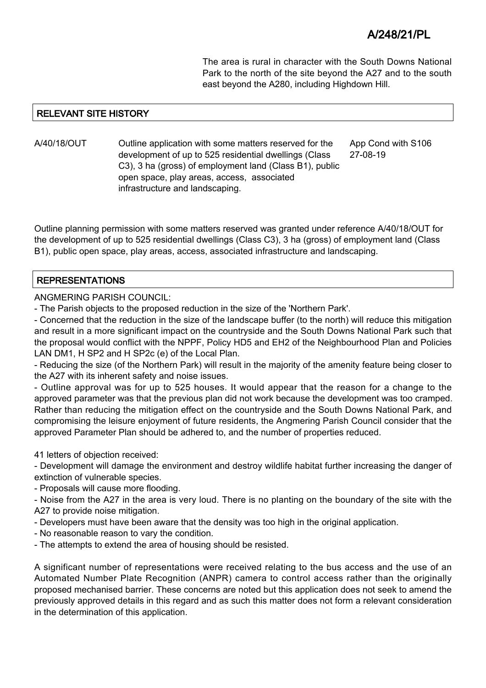The area is rural in character with the South Downs National Park to the north of the site beyond the A27 and to the south east beyond the A280, including Highdown Hill.

## RELEVANT SITE HISTORY

A/40/18/OUT Outline application with some matters reserved for the development of up to 525 residential dwellings (Class C3), 3 ha (gross) of employment land (Class B1), public open space, play areas, access, associated infrastructure and landscaping. App Cond with S106 27-08-19

Outline planning permission with some matters reserved was granted under reference A/40/18/OUT for the development of up to 525 residential dwellings (Class C3), 3 ha (gross) of employment land (Class B1), public open space, play areas, access, associated infrastructure and landscaping.

### REPRESENTATIONS

ANGMERING PARISH COUNCIL:

- The Parish objects to the proposed reduction in the size of the 'Northern Park'.

- Concerned that the reduction in the size of the landscape buffer (to the north) will reduce this mitigation and result in a more significant impact on the countryside and the South Downs National Park such that the proposal would conflict with the NPPF, Policy HD5 and EH2 of the Neighbourhood Plan and Policies LAN DM1, H SP2 and H SP2c (e) of the Local Plan.

- Reducing the size (of the Northern Park) will result in the majority of the amenity feature being closer to the A27 with its inherent safety and noise issues.

- Outline approval was for up to 525 houses. It would appear that the reason for a change to the approved parameter was that the previous plan did not work because the development was too cramped. Rather than reducing the mitigation effect on the countryside and the South Downs National Park, and compromising the leisure enjoyment of future residents, the Angmering Parish Council consider that the approved Parameter Plan should be adhered to, and the number of properties reduced.

41 letters of objection received:

- Development will damage the environment and destroy wildlife habitat further increasing the danger of extinction of vulnerable species.

- Proposals will cause more flooding.

- Noise from the A27 in the area is very loud. There is no planting on the boundary of the site with the A27 to provide noise mitigation.

- Developers must have been aware that the density was too high in the original application.

- No reasonable reason to vary the condition.

- The attempts to extend the area of housing should be resisted.

A significant number of representations were received relating to the bus access and the use of an Automated Number Plate Recognition (ANPR) camera to control access rather than the originally proposed mechanised barrier. These concerns are noted but this application does not seek to amend the previously approved details in this regard and as such this matter does not form a relevant consideration in the determination of this application.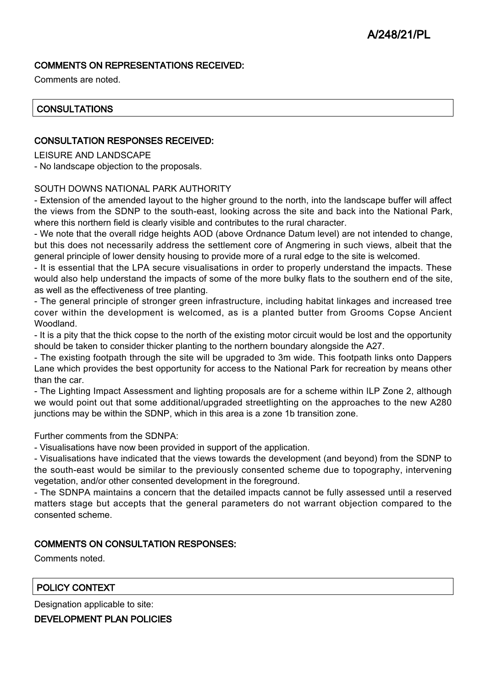## COMMENTS ON REPRESENTATIONS RECEIVED:

Comments are noted.

## **CONSULTATIONS**

### CONSULTATION RESPONSES RECEIVED:

LEISURE AND LANDSCAPE

- No landscape objection to the proposals.

#### SOUTH DOWNS NATIONAL PARK AUTHORITY

- Extension of the amended layout to the higher ground to the north, into the landscape buffer will affect the views from the SDNP to the south-east, looking across the site and back into the National Park, where this northern field is clearly visible and contributes to the rural character.

- We note that the overall ridge heights AOD (above Ordnance Datum level) are not intended to change, but this does not necessarily address the settlement core of Angmering in such views, albeit that the general principle of lower density housing to provide more of a rural edge to the site is welcomed.

- It is essential that the LPA secure visualisations in order to properly understand the impacts. These would also help understand the impacts of some of the more bulky flats to the southern end of the site, as well as the effectiveness of tree planting.

- The general principle of stronger green infrastructure, including habitat linkages and increased tree cover within the development is welcomed, as is a planted butter from Grooms Copse Ancient Woodland.

- It is a pity that the thick copse to the north of the existing motor circuit would be lost and the opportunity should be taken to consider thicker planting to the northern boundary alongside the A27.

- The existing footpath through the site will be upgraded to 3m wide. This footpath links onto Dappers Lane which provides the best opportunity for access to the National Park for recreation by means other than the car.

- The Lighting Impact Assessment and lighting proposals are for a scheme within ILP Zone 2, although we would point out that some additional/upgraded streetlighting on the approaches to the new A280 junctions may be within the SDNP, which in this area is a zone 1b transition zone.

Further comments from the SDNPA:

- Visualisations have now been provided in support of the application.

- Visualisations have indicated that the views towards the development (and beyond) from the SDNP to the south-east would be similar to the previously consented scheme due to topography, intervening vegetation, and/or other consented development in the foreground.

- The SDNPA maintains a concern that the detailed impacts cannot be fully assessed until a reserved matters stage but accepts that the general parameters do not warrant objection compared to the consented scheme.

## COMMENTS ON CONSULTATION RESPONSES:

Comments noted.

## POLICY CONTEXT

Designation applicable to site:

#### DEVELOPMENT PLAN POLICIES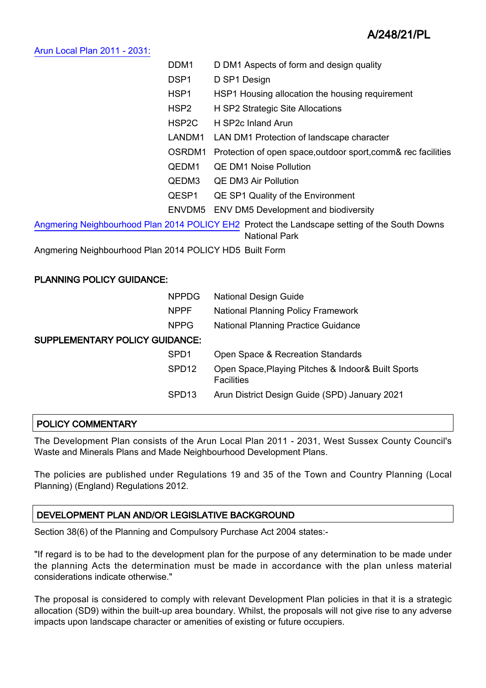#### [Arun Local Plan 2011 - 2031:](https://www.arun.gov.uk/adopted-local-plan)

| DDM <sub>1</sub>                                                                                                      | D DM1 Aspects of form and design quality                      |  |  |
|-----------------------------------------------------------------------------------------------------------------------|---------------------------------------------------------------|--|--|
| DSP <sub>1</sub>                                                                                                      | D SP1 Design                                                  |  |  |
| HSP <sub>1</sub>                                                                                                      | HSP1 Housing allocation the housing requirement               |  |  |
| HSP <sub>2</sub>                                                                                                      | H SP2 Strategic Site Allocations                              |  |  |
| HSP2C                                                                                                                 | H SP2c Inland Arun                                            |  |  |
| LANDM1                                                                                                                | LAN DM1 Protection of landscape character                     |  |  |
| OSRDM1                                                                                                                | Protection of open space, outdoor sport, comm& rec facilities |  |  |
| QEDM1                                                                                                                 | <b>QE DM1 Noise Pollution</b>                                 |  |  |
| QEDM3                                                                                                                 | <b>QE DM3 Air Pollution</b>                                   |  |  |
| QESP1                                                                                                                 | QE SP1 Quality of the Environment                             |  |  |
| ENVDM5                                                                                                                | <b>ENV DM5 Development and biodiversity</b>                   |  |  |
| Angmering Neighbourhood Plan 2014 POLICY EH2 Protect the Landscape setting of the South Downs<br><b>National Park</b> |                                                               |  |  |

Angmering Neighbourhood Plan 2014 POLICY HD5 Built Form

## PLANNING POLICY GUIDANCE:

|                                       | <b>NPPDG</b>      | <b>National Design Guide</b>                                            |
|---------------------------------------|-------------------|-------------------------------------------------------------------------|
|                                       | <b>NPPF</b>       | <b>National Planning Policy Framework</b>                               |
|                                       | <b>NPPG</b>       | <b>National Planning Practice Guidance</b>                              |
| <b>SUPPLEMENTARY POLICY GUIDANCE:</b> |                   |                                                                         |
|                                       | SPD <sub>1</sub>  | Open Space & Recreation Standards                                       |
|                                       | SPD <sub>12</sub> | Open Space, Playing Pitches & Indoor& Built Sports<br><b>Facilities</b> |
|                                       | SPD <sub>13</sub> | Arun District Design Guide (SPD) January 2021                           |
|                                       |                   |                                                                         |

## POLICY COMMENTARY

The Development Plan consists of the Arun Local Plan 2011 - 2031, West Sussex County Council's Waste and Minerals Plans and Made Neighbourhood Development Plans.

The policies are published under Regulations 19 and 35 of the Town and Country Planning (Local Planning) (England) Regulations 2012.

## DEVELOPMENT PLAN AND/OR LEGISLATIVE BACKGROUND

Section 38(6) of the Planning and Compulsory Purchase Act 2004 states:-

"If regard is to be had to the development plan for the purpose of any determination to be made under the planning Acts the determination must be made in accordance with the plan unless material considerations indicate otherwise."

The proposal is considered to comply with relevant Development Plan policies in that it is a strategic allocation (SD9) within the built-up area boundary. Whilst, the proposals will not give rise to any adverse impacts upon landscape character or amenities of existing or future occupiers.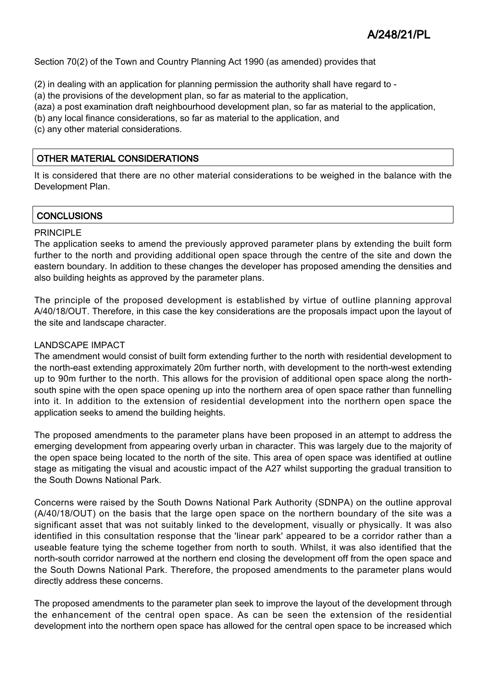Section 70(2) of the Town and Country Planning Act 1990 (as amended) provides that

(2) in dealing with an application for planning permission the authority shall have regard to -

(a) the provisions of the development plan, so far as material to the application,

(aza) a post examination draft neighbourhood development plan, so far as material to the application,

(b) any local finance considerations, so far as material to the application, and

(c) any other material considerations.

# OTHER MATERIAL CONSIDERATIONS

It is considered that there are no other material considerations to be weighed in the balance with the Development Plan.

# **CONCLUSIONS**

### PRINCIPLE

The application seeks to amend the previously approved parameter plans by extending the built form further to the north and providing additional open space through the centre of the site and down the eastern boundary. In addition to these changes the developer has proposed amending the densities and also building heights as approved by the parameter plans.

The principle of the proposed development is established by virtue of outline planning approval A/40/18/OUT. Therefore, in this case the key considerations are the proposals impact upon the layout of the site and landscape character.

#### LANDSCAPE IMPACT

The amendment would consist of built form extending further to the north with residential development to the north-east extending approximately 20m further north, with development to the north-west extending up to 90m further to the north. This allows for the provision of additional open space along the northsouth spine with the open space opening up into the northern area of open space rather than funnelling into it. In addition to the extension of residential development into the northern open space the application seeks to amend the building heights.

The proposed amendments to the parameter plans have been proposed in an attempt to address the emerging development from appearing overly urban in character. This was largely due to the majority of the open space being located to the north of the site. This area of open space was identified at outline stage as mitigating the visual and acoustic impact of the A27 whilst supporting the gradual transition to the South Downs National Park.

Concerns were raised by the South Downs National Park Authority (SDNPA) on the outline approval (A/40/18/OUT) on the basis that the large open space on the northern boundary of the site was a significant asset that was not suitably linked to the development, visually or physically. It was also identified in this consultation response that the 'linear park' appeared to be a corridor rather than a useable feature tying the scheme together from north to south. Whilst, it was also identified that the north-south corridor narrowed at the northern end closing the development off from the open space and the South Downs National Park. Therefore, the proposed amendments to the parameter plans would directly address these concerns.

The proposed amendments to the parameter plan seek to improve the layout of the development through the enhancement of the central open space. As can be seen the extension of the residential development into the northern open space has allowed for the central open space to be increased which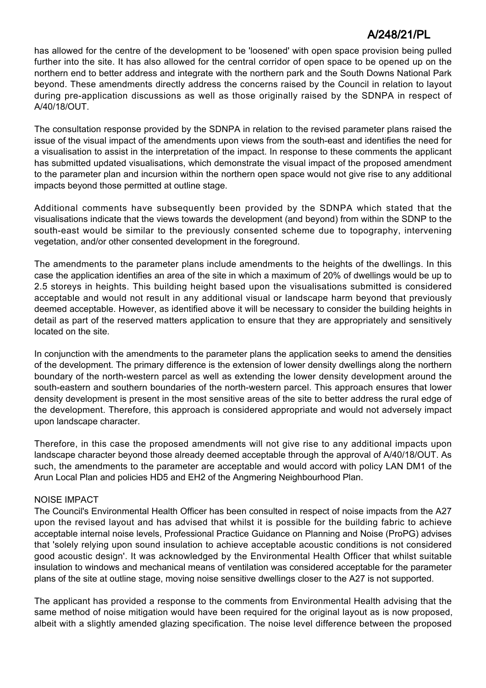has allowed for the centre of the development to be 'loosened' with open space provision being pulled further into the site. It has also allowed for the central corridor of open space to be opened up on the northern end to better address and integrate with the northern park and the South Downs National Park beyond. These amendments directly address the concerns raised by the Council in relation to layout during pre-application discussions as well as those originally raised by the SDNPA in respect of A/40/18/OUT.

The consultation response provided by the SDNPA in relation to the revised parameter plans raised the issue of the visual impact of the amendments upon views from the south-east and identifies the need for a visualisation to assist in the interpretation of the impact. In response to these comments the applicant has submitted updated visualisations, which demonstrate the visual impact of the proposed amendment to the parameter plan and incursion within the northern open space would not give rise to any additional impacts beyond those permitted at outline stage.

Additional comments have subsequently been provided by the SDNPA which stated that the visualisations indicate that the views towards the development (and beyond) from within the SDNP to the south-east would be similar to the previously consented scheme due to topography, intervening vegetation, and/or other consented development in the foreground.

The amendments to the parameter plans include amendments to the heights of the dwellings. In this case the application identifies an area of the site in which a maximum of 20% of dwellings would be up to 2.5 storeys in heights. This building height based upon the visualisations submitted is considered acceptable and would not result in any additional visual or landscape harm beyond that previously deemed acceptable. However, as identified above it will be necessary to consider the building heights in detail as part of the reserved matters application to ensure that they are appropriately and sensitively located on the site.

In conjunction with the amendments to the parameter plans the application seeks to amend the densities of the development. The primary difference is the extension of lower density dwellings along the northern boundary of the north-western parcel as well as extending the lower density development around the south-eastern and southern boundaries of the north-western parcel. This approach ensures that lower density development is present in the most sensitive areas of the site to better address the rural edge of the development. Therefore, this approach is considered appropriate and would not adversely impact upon landscape character.

Therefore, in this case the proposed amendments will not give rise to any additional impacts upon landscape character beyond those already deemed acceptable through the approval of A/40/18/OUT. As such, the amendments to the parameter are acceptable and would accord with policy LAN DM1 of the Arun Local Plan and policies HD5 and EH2 of the Angmering Neighbourhood Plan.

## NOISE IMPACT

The Council's Environmental Health Officer has been consulted in respect of noise impacts from the A27 upon the revised layout and has advised that whilst it is possible for the building fabric to achieve acceptable internal noise levels, Professional Practice Guidance on Planning and Noise (ProPG) advises that 'solely relying upon sound insulation to achieve acceptable acoustic conditions is not considered good acoustic design'. It was acknowledged by the Environmental Health Officer that whilst suitable insulation to windows and mechanical means of ventilation was considered acceptable for the parameter plans of the site at outline stage, moving noise sensitive dwellings closer to the A27 is not supported.

The applicant has provided a response to the comments from Environmental Health advising that the same method of noise mitigation would have been required for the original layout as is now proposed, albeit with a slightly amended glazing specification. The noise level difference between the proposed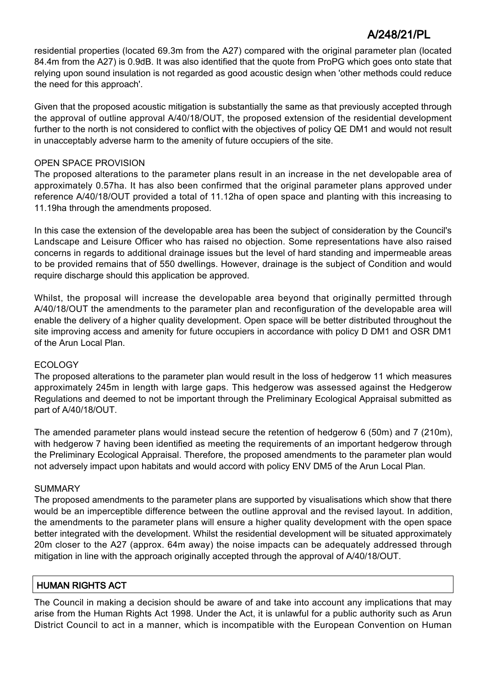residential properties (located 69.3m from the A27) compared with the original parameter plan (located 84.4m from the A27) is 0.9dB. It was also identified that the quote from ProPG which goes onto state that relying upon sound insulation is not regarded as good acoustic design when 'other methods could reduce the need for this approach'.

Given that the proposed acoustic mitigation is substantially the same as that previously accepted through the approval of outline approval A/40/18/OUT, the proposed extension of the residential development further to the north is not considered to conflict with the objectives of policy QE DM1 and would not result in unacceptably adverse harm to the amenity of future occupiers of the site.

### OPEN SPACE PROVISION

The proposed alterations to the parameter plans result in an increase in the net developable area of approximately 0.57ha. It has also been confirmed that the original parameter plans approved under reference A/40/18/OUT provided a total of 11.12ha of open space and planting with this increasing to 11.19ha through the amendments proposed.

In this case the extension of the developable area has been the subject of consideration by the Council's Landscape and Leisure Officer who has raised no objection. Some representations have also raised concerns in regards to additional drainage issues but the level of hard standing and impermeable areas to be provided remains that of 550 dwellings. However, drainage is the subject of Condition and would require discharge should this application be approved.

Whilst, the proposal will increase the developable area beyond that originally permitted through A/40/18/OUT the amendments to the parameter plan and reconfiguration of the developable area will enable the delivery of a higher quality development. Open space will be better distributed throughout the site improving access and amenity for future occupiers in accordance with policy D DM1 and OSR DM1 of the Arun Local Plan.

#### ECOLOGY

The proposed alterations to the parameter plan would result in the loss of hedgerow 11 which measures approximately 245m in length with large gaps. This hedgerow was assessed against the Hedgerow Regulations and deemed to not be important through the Preliminary Ecological Appraisal submitted as part of A/40/18/OUT.

The amended parameter plans would instead secure the retention of hedgerow 6 (50m) and 7 (210m), with hedgerow 7 having been identified as meeting the requirements of an important hedgerow through the Preliminary Ecological Appraisal. Therefore, the proposed amendments to the parameter plan would not adversely impact upon habitats and would accord with policy ENV DM5 of the Arun Local Plan.

#### **SUMMARY**

The proposed amendments to the parameter plans are supported by visualisations which show that there would be an imperceptible difference between the outline approval and the revised layout. In addition, the amendments to the parameter plans will ensure a higher quality development with the open space better integrated with the development. Whilst the residential development will be situated approximately 20m closer to the A27 (approx. 64m away) the noise impacts can be adequately addressed through mitigation in line with the approach originally accepted through the approval of A/40/18/OUT.

## HUMAN RIGHTS ACT

The Council in making a decision should be aware of and take into account any implications that may arise from the Human Rights Act 1998. Under the Act, it is unlawful for a public authority such as Arun District Council to act in a manner, which is incompatible with the European Convention on Human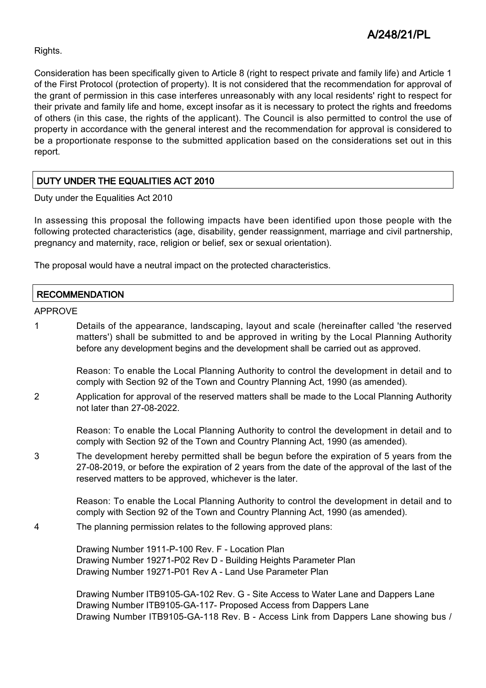Rights.

Consideration has been specifically given to Article 8 (right to respect private and family life) and Article 1 of the First Protocol (protection of property). It is not considered that the recommendation for approval of the grant of permission in this case interferes unreasonably with any local residents' right to respect for their private and family life and home, except insofar as it is necessary to protect the rights and freedoms of others (in this case, the rights of the applicant). The Council is also permitted to control the use of property in accordance with the general interest and the recommendation for approval is considered to be a proportionate response to the submitted application based on the considerations set out in this report.

# DUTY UNDER THE EQUALITIES ACT 2010

Duty under the Equalities Act 2010

In assessing this proposal the following impacts have been identified upon those people with the following protected characteristics (age, disability, gender reassignment, marriage and civil partnership, pregnancy and maternity, race, religion or belief, sex or sexual orientation).

The proposal would have a neutral impact on the protected characteristics.

### **RECOMMENDATION**

APPROVE

1 Details of the appearance, landscaping, layout and scale (hereinafter called 'the reserved matters') shall be submitted to and be approved in writing by the Local Planning Authority before any development begins and the development shall be carried out as approved.

Reason: To enable the Local Planning Authority to control the development in detail and to comply with Section 92 of the Town and Country Planning Act, 1990 (as amended).

2 Application for approval of the reserved matters shall be made to the Local Planning Authority not later than 27-08-2022.

> Reason: To enable the Local Planning Authority to control the development in detail and to comply with Section 92 of the Town and Country Planning Act, 1990 (as amended).

3 The development hereby permitted shall be begun before the expiration of 5 years from the 27-08-2019, or before the expiration of 2 years from the date of the approval of the last of the reserved matters to be approved, whichever is the later.

> Reason: To enable the Local Planning Authority to control the development in detail and to comply with Section 92 of the Town and Country Planning Act, 1990 (as amended).

4 The planning permission relates to the following approved plans:

Drawing Number 1911-P-100 Rev. F - Location Plan Drawing Number 19271-P02 Rev D - Building Heights Parameter Plan Drawing Number 19271-P01 Rev A - Land Use Parameter Plan

Drawing Number ITB9105-GA-102 Rev. G - Site Access to Water Lane and Dappers Lane Drawing Number ITB9105-GA-117- Proposed Access from Dappers Lane Drawing Number ITB9105-GA-118 Rev. B - Access Link from Dappers Lane showing bus /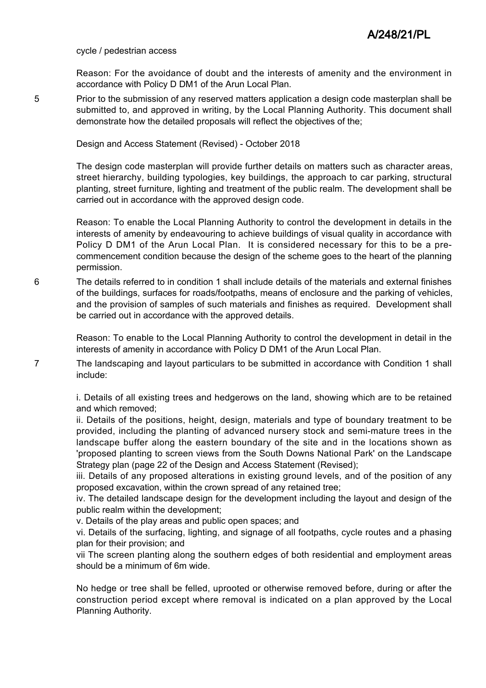#### cycle / pedestrian access

Reason: For the avoidance of doubt and the interests of amenity and the environment in accordance with Policy D DM1 of the Arun Local Plan.

5 Prior to the submission of any reserved matters application a design code masterplan shall be submitted to, and approved in writing, by the Local Planning Authority. This document shall demonstrate how the detailed proposals will reflect the objectives of the;

Design and Access Statement (Revised) - October 2018

The design code masterplan will provide further details on matters such as character areas, street hierarchy, building typologies, key buildings, the approach to car parking, structural planting, street furniture, lighting and treatment of the public realm. The development shall be carried out in accordance with the approved design code.

Reason: To enable the Local Planning Authority to control the development in details in the interests of amenity by endeavouring to achieve buildings of visual quality in accordance with Policy D DM1 of the Arun Local Plan. It is considered necessary for this to be a precommencement condition because the design of the scheme goes to the heart of the planning permission.

6 The details referred to in condition 1 shall include details of the materials and external finishes of the buildings, surfaces for roads/footpaths, means of enclosure and the parking of vehicles, and the provision of samples of such materials and finishes as required. Development shall be carried out in accordance with the approved details.

> Reason: To enable to the Local Planning Authority to control the development in detail in the interests of amenity in accordance with Policy D DM1 of the Arun Local Plan.

7 The landscaping and layout particulars to be submitted in accordance with Condition 1 shall include:

> i. Details of all existing trees and hedgerows on the land, showing which are to be retained and which removed;

> ii. Details of the positions, height, design, materials and type of boundary treatment to be provided, including the planting of advanced nursery stock and semi-mature trees in the landscape buffer along the eastern boundary of the site and in the locations shown as 'proposed planting to screen views from the South Downs National Park' on the Landscape Strategy plan (page 22 of the Design and Access Statement (Revised);

> iii. Details of any proposed alterations in existing ground levels, and of the position of any proposed excavation, within the crown spread of any retained tree;

> iv. The detailed landscape design for the development including the layout and design of the public realm within the development;

v. Details of the play areas and public open spaces; and

vi. Details of the surfacing, lighting, and signage of all footpaths, cycle routes and a phasing plan for their provision; and

vii The screen planting along the southern edges of both residential and employment areas should be a minimum of 6m wide.

No hedge or tree shall be felled, uprooted or otherwise removed before, during or after the construction period except where removal is indicated on a plan approved by the Local Planning Authority.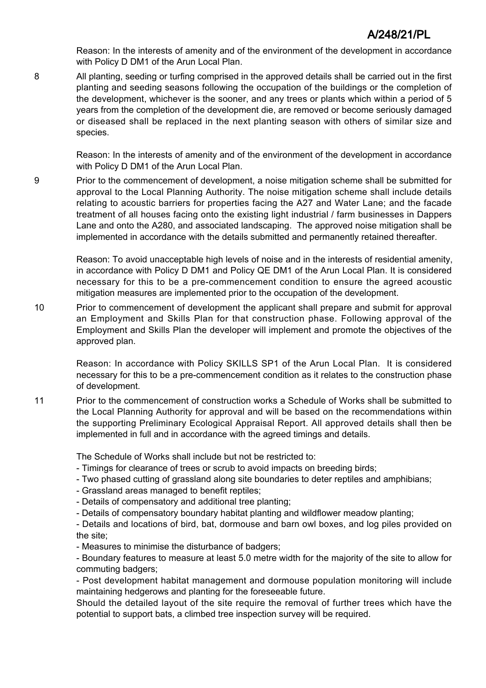Reason: In the interests of amenity and of the environment of the development in accordance with Policy D DM1 of the Arun Local Plan.

8 All planting, seeding or turfing comprised in the approved details shall be carried out in the first planting and seeding seasons following the occupation of the buildings or the completion of the development, whichever is the sooner, and any trees or plants which within a period of 5 years from the completion of the development die, are removed or become seriously damaged or diseased shall be replaced in the next planting season with others of similar size and species.

> Reason: In the interests of amenity and of the environment of the development in accordance with Policy D DM1 of the Arun Local Plan.

9 Prior to the commencement of development, a noise mitigation scheme shall be submitted for approval to the Local Planning Authority. The noise mitigation scheme shall include details relating to acoustic barriers for properties facing the A27 and Water Lane; and the facade treatment of all houses facing onto the existing light industrial / farm businesses in Dappers Lane and onto the A280, and associated landscaping. The approved noise mitigation shall be implemented in accordance with the details submitted and permanently retained thereafter.

> Reason: To avoid unacceptable high levels of noise and in the interests of residential amenity, in accordance with Policy D DM1 and Policy QE DM1 of the Arun Local Plan. It is considered necessary for this to be a pre-commencement condition to ensure the agreed acoustic mitigation measures are implemented prior to the occupation of the development.

10 Prior to commencement of development the applicant shall prepare and submit for approval an Employment and Skills Plan for that construction phase. Following approval of the Employment and Skills Plan the developer will implement and promote the objectives of the approved plan.

Reason: In accordance with Policy SKILLS SP1 of the Arun Local Plan. It is considered necessary for this to be a pre-commencement condition as it relates to the construction phase of development.

11 Prior to the commencement of construction works a Schedule of Works shall be submitted to the Local Planning Authority for approval and will be based on the recommendations within the supporting Preliminary Ecological Appraisal Report. All approved details shall then be implemented in full and in accordance with the agreed timings and details.

The Schedule of Works shall include but not be restricted to:

- Timings for clearance of trees or scrub to avoid impacts on breeding birds;
- Two phased cutting of grassland along site boundaries to deter reptiles and amphibians;
- Grassland areas managed to benefit reptiles;
- Details of compensatory and additional tree planting;
- Details of compensatory boundary habitat planting and wildflower meadow planting;

- Details and locations of bird, bat, dormouse and barn owl boxes, and log piles provided on the site;

- Measures to minimise the disturbance of badgers;

- Boundary features to measure at least 5.0 metre width for the majority of the site to allow for commuting badgers;

- Post development habitat management and dormouse population monitoring will include maintaining hedgerows and planting for the foreseeable future.

Should the detailed layout of the site require the removal of further trees which have the potential to support bats, a climbed tree inspection survey will be required.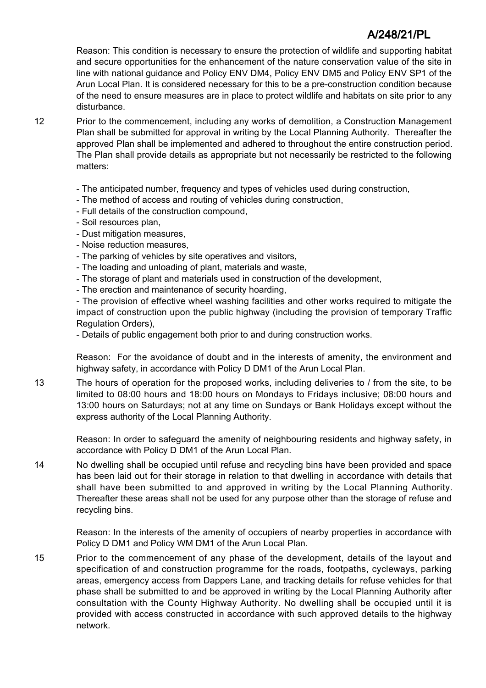Reason: This condition is necessary to ensure the protection of wildlife and supporting habitat and secure opportunities for the enhancement of the nature conservation value of the site in line with national guidance and Policy ENV DM4, Policy ENV DM5 and Policy ENV SP1 of the Arun Local Plan. It is considered necessary for this to be a pre-construction condition because of the need to ensure measures are in place to protect wildlife and habitats on site prior to any disturbance.

- 12 Prior to the commencement, including any works of demolition, a Construction Management Plan shall be submitted for approval in writing by the Local Planning Authority. Thereafter the approved Plan shall be implemented and adhered to throughout the entire construction period. The Plan shall provide details as appropriate but not necessarily be restricted to the following matters:
	- The anticipated number, frequency and types of vehicles used during construction,
	- The method of access and routing of vehicles during construction,
	- Full details of the construction compound,
	- Soil resources plan,
	- Dust mitigation measures,
	- Noise reduction measures,
	- The parking of vehicles by site operatives and visitors,
	- The loading and unloading of plant, materials and waste,
	- The storage of plant and materials used in construction of the development,
	- The erection and maintenance of security hoarding,

- The provision of effective wheel washing facilities and other works required to mitigate the impact of construction upon the public highway (including the provision of temporary Traffic Regulation Orders),

- Details of public engagement both prior to and during construction works.

Reason: For the avoidance of doubt and in the interests of amenity, the environment and highway safety, in accordance with Policy D DM1 of the Arun Local Plan.

13 The hours of operation for the proposed works, including deliveries to / from the site, to be limited to 08:00 hours and 18:00 hours on Mondays to Fridays inclusive; 08:00 hours and 13:00 hours on Saturdays; not at any time on Sundays or Bank Holidays except without the express authority of the Local Planning Authority.

Reason: In order to safeguard the amenity of neighbouring residents and highway safety, in accordance with Policy D DM1 of the Arun Local Plan.

14 No dwelling shall be occupied until refuse and recycling bins have been provided and space has been laid out for their storage in relation to that dwelling in accordance with details that shall have been submitted to and approved in writing by the Local Planning Authority. Thereafter these areas shall not be used for any purpose other than the storage of refuse and recycling bins.

Reason: In the interests of the amenity of occupiers of nearby properties in accordance with Policy D DM1 and Policy WM DM1 of the Arun Local Plan.

15 Prior to the commencement of any phase of the development, details of the layout and specification of and construction programme for the roads, footpaths, cycleways, parking areas, emergency access from Dappers Lane, and tracking details for refuse vehicles for that phase shall be submitted to and be approved in writing by the Local Planning Authority after consultation with the County Highway Authority. No dwelling shall be occupied until it is provided with access constructed in accordance with such approved details to the highway network.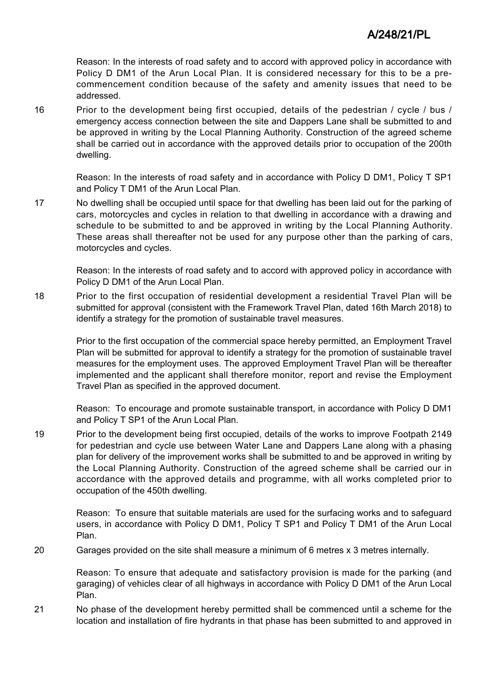Reason: In the interests of road safety and to accord with approved policy in accordance with Policy D DM1 of the Arun Local Plan. It is considered necessary for this to be a precommencement condition because of the safety and amenity issues that need to be addressed.

16 Prior to the development being first occupied, details of the pedestrian / cycle / bus / emergency access connection between the site and Dappers Lane shall be submitted to and be approved in writing by the Local Planning Authority. Construction of the agreed scheme shall be carried out in accordance with the approved details prior to occupation of the 200th dwelling.

Reason: In the interests of road safety and in accordance with Policy D DM1, Policy T SP1 and Policy T DM1 of the Arun Local Plan.

17 No dwelling shall be occupied until space for that dwelling has been laid out for the parking of cars, motorcycles and cycles in relation to that dwelling in accordance with a drawing and schedule to be submitted to and be approved in writing by the Local Planning Authority. These areas shall thereafter not be used for any purpose other than the parking of cars, motorcycles and cycles.

Reason: In the interests of road safety and to accord with approved policy in accordance with Policy D DM1 of the Arun Local Plan.

18 Prior to the first occupation of residential development a residential Travel Plan will be submitted for approval (consistent with the Framework Travel Plan, dated 16th March 2018) to identify a strategy for the promotion of sustainable travel measures.

Prior to the first occupation of the commercial space hereby permitted, an Employment Travel Plan will be submitted for approval to identify a strategy for the promotion of sustainable travel measures for the employment uses. The approved Employment Travel Plan will be thereafter implemented and the applicant shall therefore monitor, report and revise the Employment Travel Plan as specified in the approved document.

Reason: To encourage and promote sustainable transport, in accordance with Policy D DM1 and Policy T SP1 of the Arun Local Plan.

19 Prior to the development being first occupied, details of the works to improve Footpath 2149 for pedestrian and cycle use between Water Lane and Dappers Lane along with a phasing plan for delivery of the improvement works shall be submitted to and be approved in writing by the Local Planning Authority. Construction of the agreed scheme shall be carried our in accordance with the approved details and programme, with all works completed prior to occupation of the 450th dwelling.

Reason: To ensure that suitable materials are used for the surfacing works and to safeguard users, in accordance with Policy D DM1, Policy T SP1 and Policy T DM1 of the Arun Local Plan.

20 Garages provided on the site shall measure a minimum of 6 metres x 3 metres internally.

Reason: To ensure that adequate and satisfactory provision is made for the parking (and garaging) of vehicles clear of all highways in accordance with Policy D DM1 of the Arun Local Plan.

21 No phase of the development hereby permitted shall be commenced until a scheme for the location and installation of fire hydrants in that phase has been submitted to and approved in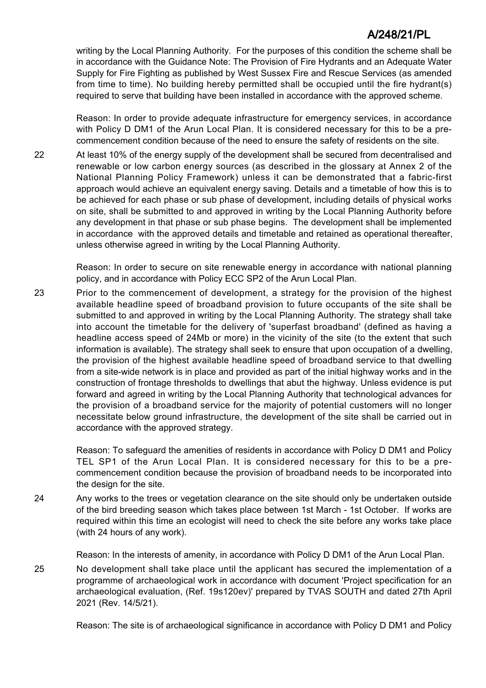writing by the Local Planning Authority. For the purposes of this condition the scheme shall be in accordance with the Guidance Note: The Provision of Fire Hydrants and an Adequate Water Supply for Fire Fighting as published by West Sussex Fire and Rescue Services (as amended from time to time). No building hereby permitted shall be occupied until the fire hydrant(s) required to serve that building have been installed in accordance with the approved scheme.

Reason: In order to provide adequate infrastructure for emergency services, in accordance with Policy D DM1 of the Arun Local Plan. It is considered necessary for this to be a precommencement condition because of the need to ensure the safety of residents on the site.

22 At least 10% of the energy supply of the development shall be secured from decentralised and renewable or low carbon energy sources (as described in the glossary at Annex 2 of the National Planning Policy Framework) unless it can be demonstrated that a fabric-first approach would achieve an equivalent energy saving. Details and a timetable of how this is to be achieved for each phase or sub phase of development, including details of physical works on site, shall be submitted to and approved in writing by the Local Planning Authority before any development in that phase or sub phase begins. The development shall be implemented in accordance with the approved details and timetable and retained as operational thereafter, unless otherwise agreed in writing by the Local Planning Authority.

> Reason: In order to secure on site renewable energy in accordance with national planning policy, and in accordance with Policy ECC SP2 of the Arun Local Plan.

23 Prior to the commencement of development, a strategy for the provision of the highest available headline speed of broadband provision to future occupants of the site shall be submitted to and approved in writing by the Local Planning Authority. The strategy shall take into account the timetable for the delivery of 'superfast broadband' (defined as having a headline access speed of 24Mb or more) in the vicinity of the site (to the extent that such information is available). The strategy shall seek to ensure that upon occupation of a dwelling, the provision of the highest available headline speed of broadband service to that dwelling from a site-wide network is in place and provided as part of the initial highway works and in the construction of frontage thresholds to dwellings that abut the highway. Unless evidence is put forward and agreed in writing by the Local Planning Authority that technological advances for the provision of a broadband service for the majority of potential customers will no longer necessitate below ground infrastructure, the development of the site shall be carried out in accordance with the approved strategy.

> Reason: To safeguard the amenities of residents in accordance with Policy D DM1 and Policy TEL SP1 of the Arun Local Plan. It is considered necessary for this to be a precommencement condition because the provision of broadband needs to be incorporated into the design for the site.

24 Any works to the trees or vegetation clearance on the site should only be undertaken outside of the bird breeding season which takes place between 1st March - 1st October. If works are required within this time an ecologist will need to check the site before any works take place (with 24 hours of any work).

Reason: In the interests of amenity, in accordance with Policy D DM1 of the Arun Local Plan.

25 No development shall take place until the applicant has secured the implementation of a programme of archaeological work in accordance with document 'Project specification for an archaeological evaluation, (Ref. 19s120ev)' prepared by TVAS SOUTH and dated 27th April 2021 (Rev. 14/5/21).

Reason: The site is of archaeological significance in accordance with Policy D DM1 and Policy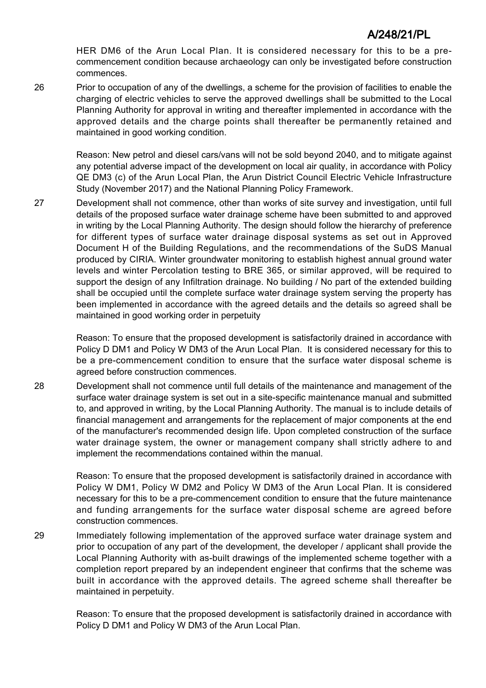HER DM6 of the Arun Local Plan. It is considered necessary for this to be a precommencement condition because archaeology can only be investigated before construction commences.

26 Prior to occupation of any of the dwellings, a scheme for the provision of facilities to enable the charging of electric vehicles to serve the approved dwellings shall be submitted to the Local Planning Authority for approval in writing and thereafter implemented in accordance with the approved details and the charge points shall thereafter be permanently retained and maintained in good working condition.

> Reason: New petrol and diesel cars/vans will not be sold beyond 2040, and to mitigate against any potential adverse impact of the development on local air quality, in accordance with Policy QE DM3 (c) of the Arun Local Plan, the Arun District Council Electric Vehicle Infrastructure Study (November 2017) and the National Planning Policy Framework.

27 Development shall not commence, other than works of site survey and investigation, until full details of the proposed surface water drainage scheme have been submitted to and approved in writing by the Local Planning Authority. The design should follow the hierarchy of preference for different types of surface water drainage disposal systems as set out in Approved Document H of the Building Regulations, and the recommendations of the SuDS Manual produced by CIRIA. Winter groundwater monitoring to establish highest annual ground water levels and winter Percolation testing to BRE 365, or similar approved, will be required to support the design of any Infiltration drainage. No building / No part of the extended building shall be occupied until the complete surface water drainage system serving the property has been implemented in accordance with the agreed details and the details so agreed shall be maintained in good working order in perpetuity

> Reason: To ensure that the proposed development is satisfactorily drained in accordance with Policy D DM1 and Policy W DM3 of the Arun Local Plan. It is considered necessary for this to be a pre-commencement condition to ensure that the surface water disposal scheme is agreed before construction commences.

28 Development shall not commence until full details of the maintenance and management of the surface water drainage system is set out in a site-specific maintenance manual and submitted to, and approved in writing, by the Local Planning Authority. The manual is to include details of financial management and arrangements for the replacement of major components at the end of the manufacturer's recommended design life. Upon completed construction of the surface water drainage system, the owner or management company shall strictly adhere to and implement the recommendations contained within the manual.

> Reason: To ensure that the proposed development is satisfactorily drained in accordance with Policy W DM1, Policy W DM2 and Policy W DM3 of the Arun Local Plan. It is considered necessary for this to be a pre-commencement condition to ensure that the future maintenance and funding arrangements for the surface water disposal scheme are agreed before construction commences.

29 Immediately following implementation of the approved surface water drainage system and prior to occupation of any part of the development, the developer / applicant shall provide the Local Planning Authority with as-built drawings of the implemented scheme together with a completion report prepared by an independent engineer that confirms that the scheme was built in accordance with the approved details. The agreed scheme shall thereafter be maintained in perpetuity.

> Reason: To ensure that the proposed development is satisfactorily drained in accordance with Policy D DM1 and Policy W DM3 of the Arun Local Plan.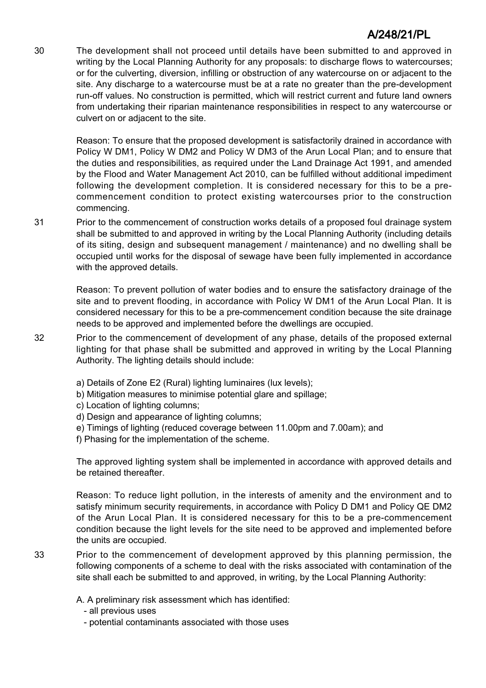30 The development shall not proceed until details have been submitted to and approved in writing by the Local Planning Authority for any proposals: to discharge flows to watercourses; or for the culverting, diversion, infilling or obstruction of any watercourse on or adjacent to the site. Any discharge to a watercourse must be at a rate no greater than the pre-development run-off values. No construction is permitted, which will restrict current and future land owners from undertaking their riparian maintenance responsibilities in respect to any watercourse or culvert on or adjacent to the site.

> Reason: To ensure that the proposed development is satisfactorily drained in accordance with Policy W DM1, Policy W DM2 and Policy W DM3 of the Arun Local Plan; and to ensure that the duties and responsibilities, as required under the Land Drainage Act 1991, and amended by the Flood and Water Management Act 2010, can be fulfilled without additional impediment following the development completion. It is considered necessary for this to be a precommencement condition to protect existing watercourses prior to the construction commencing.

31 Prior to the commencement of construction works details of a proposed foul drainage system shall be submitted to and approved in writing by the Local Planning Authority (including details of its siting, design and subsequent management / maintenance) and no dwelling shall be occupied until works for the disposal of sewage have been fully implemented in accordance with the approved details.

> Reason: To prevent pollution of water bodies and to ensure the satisfactory drainage of the site and to prevent flooding, in accordance with Policy W DM1 of the Arun Local Plan. It is considered necessary for this to be a pre-commencement condition because the site drainage needs to be approved and implemented before the dwellings are occupied.

- 32 Prior to the commencement of development of any phase, details of the proposed external lighting for that phase shall be submitted and approved in writing by the Local Planning Authority. The lighting details should include:
	- a) Details of Zone E2 (Rural) lighting luminaires (lux levels);
	- b) Mitigation measures to minimise potential glare and spillage;
	- c) Location of lighting columns;
	- d) Design and appearance of lighting columns;
	- e) Timings of lighting (reduced coverage between 11.00pm and 7.00am); and
	- f) Phasing for the implementation of the scheme.

The approved lighting system shall be implemented in accordance with approved details and be retained thereafter.

Reason: To reduce light pollution, in the interests of amenity and the environment and to satisfy minimum security requirements, in accordance with Policy D DM1 and Policy QE DM2 of the Arun Local Plan. It is considered necessary for this to be a pre-commencement condition because the light levels for the site need to be approved and implemented before the units are occupied.

- 33 Prior to the commencement of development approved by this planning permission, the following components of a scheme to deal with the risks associated with contamination of the site shall each be submitted to and approved, in writing, by the Local Planning Authority:
	- A. A preliminary risk assessment which has identified:
		- all previous uses
		- potential contaminants associated with those uses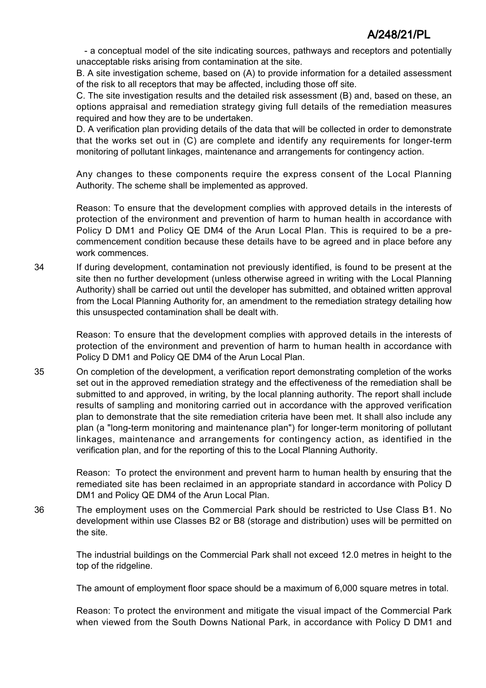- a conceptual model of the site indicating sources, pathways and receptors and potentially unacceptable risks arising from contamination at the site.

B. A site investigation scheme, based on (A) to provide information for a detailed assessment of the risk to all receptors that may be affected, including those off site.

C. The site investigation results and the detailed risk assessment (B) and, based on these, an options appraisal and remediation strategy giving full details of the remediation measures required and how they are to be undertaken.

D. A verification plan providing details of the data that will be collected in order to demonstrate that the works set out in (C) are complete and identify any requirements for longer-term monitoring of pollutant linkages, maintenance and arrangements for contingency action.

Any changes to these components require the express consent of the Local Planning Authority. The scheme shall be implemented as approved.

Reason: To ensure that the development complies with approved details in the interests of protection of the environment and prevention of harm to human health in accordance with Policy D DM1 and Policy QE DM4 of the Arun Local Plan. This is required to be a precommencement condition because these details have to be agreed and in place before any work commences.

34 If during development, contamination not previously identified, is found to be present at the site then no further development (unless otherwise agreed in writing with the Local Planning Authority) shall be carried out until the developer has submitted, and obtained written approval from the Local Planning Authority for, an amendment to the remediation strategy detailing how this unsuspected contamination shall be dealt with.

> Reason: To ensure that the development complies with approved details in the interests of protection of the environment and prevention of harm to human health in accordance with Policy D DM1 and Policy QE DM4 of the Arun Local Plan.

35 On completion of the development, a verification report demonstrating completion of the works set out in the approved remediation strategy and the effectiveness of the remediation shall be submitted to and approved, in writing, by the local planning authority. The report shall include results of sampling and monitoring carried out in accordance with the approved verification plan to demonstrate that the site remediation criteria have been met. It shall also include any plan (a "long-term monitoring and maintenance plan") for longer-term monitoring of pollutant linkages, maintenance and arrangements for contingency action, as identified in the verification plan, and for the reporting of this to the Local Planning Authority.

> Reason: To protect the environment and prevent harm to human health by ensuring that the remediated site has been reclaimed in an appropriate standard in accordance with Policy D DM1 and Policy QE DM4 of the Arun Local Plan.

36 The employment uses on the Commercial Park should be restricted to Use Class B1. No development within use Classes B2 or B8 (storage and distribution) uses will be permitted on the site.

> The industrial buildings on the Commercial Park shall not exceed 12.0 metres in height to the top of the ridgeline.

The amount of employment floor space should be a maximum of 6,000 square metres in total.

Reason: To protect the environment and mitigate the visual impact of the Commercial Park when viewed from the South Downs National Park, in accordance with Policy D DM1 and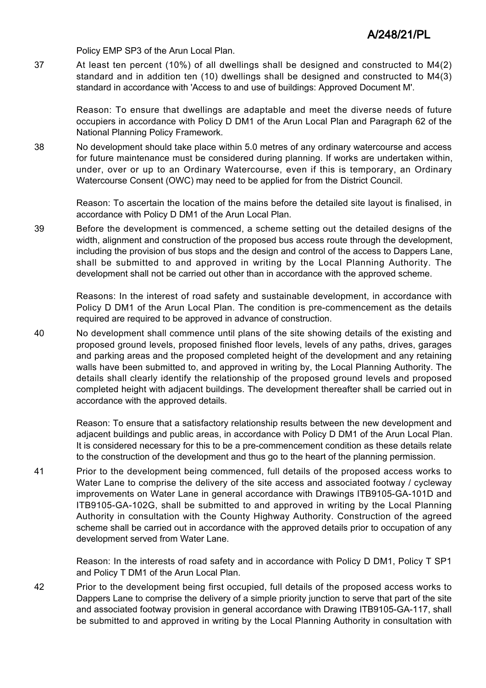Policy EMP SP3 of the Arun Local Plan.

37 At least ten percent (10%) of all dwellings shall be designed and constructed to M4(2) standard and in addition ten (10) dwellings shall be designed and constructed to M4(3) standard in accordance with 'Access to and use of buildings: Approved Document M'.

> Reason: To ensure that dwellings are adaptable and meet the diverse needs of future occupiers in accordance with Policy D DM1 of the Arun Local Plan and Paragraph 62 of the National Planning Policy Framework.

38 No development should take place within 5.0 metres of any ordinary watercourse and access for future maintenance must be considered during planning. If works are undertaken within, under, over or up to an Ordinary Watercourse, even if this is temporary, an Ordinary Watercourse Consent (OWC) may need to be applied for from the District Council.

> Reason: To ascertain the location of the mains before the detailed site layout is finalised, in accordance with Policy D DM1 of the Arun Local Plan.

39 Before the development is commenced, a scheme setting out the detailed designs of the width, alignment and construction of the proposed bus access route through the development, including the provision of bus stops and the design and control of the access to Dappers Lane, shall be submitted to and approved in writing by the Local Planning Authority. The development shall not be carried out other than in accordance with the approved scheme.

> Reasons: In the interest of road safety and sustainable development, in accordance with Policy D DM1 of the Arun Local Plan. The condition is pre-commencement as the details required are required to be approved in advance of construction.

40 No development shall commence until plans of the site showing details of the existing and proposed ground levels, proposed finished floor levels, levels of any paths, drives, garages and parking areas and the proposed completed height of the development and any retaining walls have been submitted to, and approved in writing by, the Local Planning Authority. The details shall clearly identify the relationship of the proposed ground levels and proposed completed height with adjacent buildings. The development thereafter shall be carried out in accordance with the approved details.

> Reason: To ensure that a satisfactory relationship results between the new development and adjacent buildings and public areas, in accordance with Policy D DM1 of the Arun Local Plan. It is considered necessary for this to be a pre-commencement condition as these details relate to the construction of the development and thus go to the heart of the planning permission.

41 Prior to the development being commenced, full details of the proposed access works to Water Lane to comprise the delivery of the site access and associated footway / cycleway improvements on Water Lane in general accordance with Drawings ITB9105-GA-101D and ITB9105-GA-102G, shall be submitted to and approved in writing by the Local Planning Authority in consultation with the County Highway Authority. Construction of the agreed scheme shall be carried out in accordance with the approved details prior to occupation of any development served from Water Lane.

> Reason: In the interests of road safety and in accordance with Policy D DM1, Policy T SP1 and Policy T DM1 of the Arun Local Plan.

42 Prior to the development being first occupied, full details of the proposed access works to Dappers Lane to comprise the delivery of a simple priority junction to serve that part of the site and associated footway provision in general accordance with Drawing ITB9105-GA-117, shall be submitted to and approved in writing by the Local Planning Authority in consultation with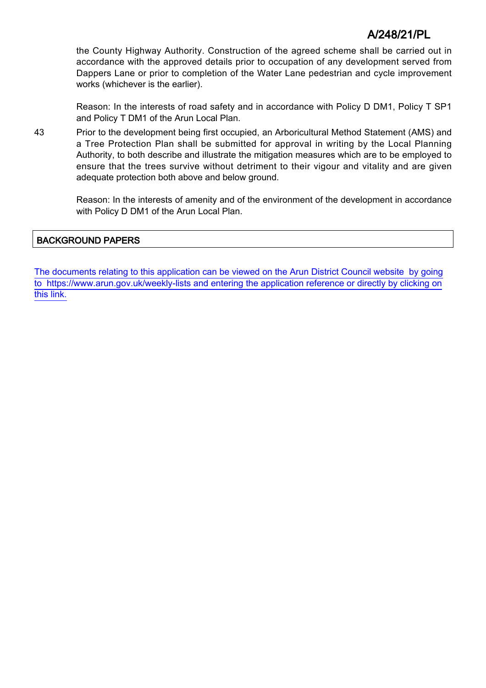the County Highway Authority. Construction of the agreed scheme shall be carried out in accordance with the approved details prior to occupation of any development served from Dappers Lane or prior to completion of the Water Lane pedestrian and cycle improvement works (whichever is the earlier).

Reason: In the interests of road safety and in accordance with Policy D DM1, Policy T SP1 and Policy T DM1 of the Arun Local Plan.

43 Prior to the development being first occupied, an Arboricultural Method Statement (AMS) and a Tree Protection Plan shall be submitted for approval in writing by the Local Planning Authority, to both describe and illustrate the mitigation measures which are to be employed to ensure that the trees survive without detriment to their vigour and vitality and are given adequate protection both above and below ground.

> Reason: In the interests of amenity and of the environment of the development in accordance with Policy D DM1 of the Arun Local Plan.

### BACKGROUND PAPERS

[The documents relating to this application can be viewed on the Arun District Council website by going](http://www1.arun.gov.uk/planrec/index.cfm?tpkey=eOcella&user_key_1=A/248/21/PL&keyscheme=planning) [to https://www.arun.gov.uk/weekly-lists and entering the application reference or directly by clicking on](http://www1.arun.gov.uk/planrec/index.cfm?tpkey=eOcella&user_key_1=A/248/21/PL&keyscheme=planning) [this link.](http://www1.arun.gov.uk/planrec/index.cfm?tpkey=eOcella&user_key_1=A/248/21/PL&keyscheme=planning)